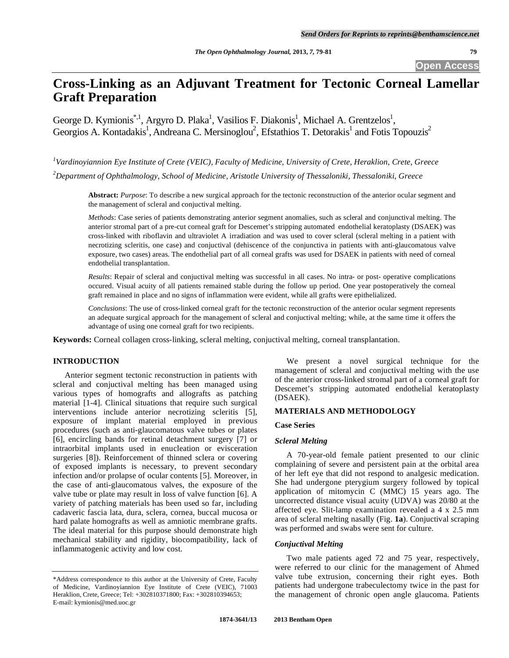**Open Access** 

# **Cross-Linking as an Adjuvant Treatment for Tectonic Corneal Lamellar Graft Preparation**

George D. Kymionis<sup>\*,1</sup>, Argyro D. Plaka<sup>1</sup>, Vasilios F. Diakonis<sup>1</sup>, Michael A. Grentzelos<sup>1</sup>, Georgios A. Kontadakis<sup>1</sup>, Andreana C. Mersinoglou<sup>2</sup>, Efstathios T. Detorakis<sup>1</sup> and Fotis Topouzis<sup>2</sup>

*1 Vardinoyiannion Eye Institute of Crete (VEIC), Faculty of Medicine, University of Crete, Heraklion, Crete, Greece 2 Department of Ophthalmology, School of Medicine, Aristotle University of Thessaloniki, Thessaloniki, Greece* 

**Abstract:** *Purpose*: To describe a new surgical approach for the tectonic reconstruction of the anterior ocular segment and the management of scleral and conjuctival melting.

*Methods*: Case series of patients demonstrating anterior segment anomalies, such as scleral and conjunctival melting. The anterior stromal part of a pre-cut corneal graft for Descemet's stripping automated endothelial keratoplasty (DSAEK) was cross-linked with riboflavin and ultraviolet A irradiation and was used to cover scleral (scleral melting in a patient with necrotizing scleritis, one case) and conjuctival (dehiscence of the conjunctiva in patients with anti-glaucomatous valve exposure, two cases) areas. The endothelial part of all corneal grafts was used for DSAEK in patients with need of corneal endothelial transplantation.

*Results*: Repair of scleral and conjuctival melting was successful in all cases. No intra- or post- operative complications occured. Visual acuity of all patients remained stable during the follow up period. One year postoperatively the corneal graft remained in place and no signs of inflammation were evident, while all grafts were epithelialized.

*Conclusions*: The use of cross-linked corneal graft for the tectonic reconstruction of the anterior ocular segment represents an adequate surgical approach for the management of scleral and conjuctival melting; while, at the same time it offers the advantage of using one corneal graft for two recipients.

**Keywords:** Corneal collagen cross-linking, scleral melting, conjuctival melting, corneal transplantation.

## **INTRODUCTION**

 Anterior segment tectonic reconstruction in patients with scleral and conjuctival melting has been managed using various types of homografts and allografts as patching material [1-4]. Clinical situations that require such surgical interventions include anterior necrotizing scleritis [5], exposure of implant material employed in previous procedures (such as anti-glaucomatous valve tubes or plates [6], encircling bands for retinal detachment surgery [7] or intraorbital implants used in enucleation or evisceration surgeries [8]). Reinforcement of thinned sclera or covering of exposed implants is necessary, to prevent secondary infection and/or prolapse of ocular contents [5]. Moreover, in the case of anti-glaucomatous valves, the exposure of the valve tube or plate may result in loss of valve function [6]. A variety of patching materials has been used so far, including cadaveric fascia lata, dura, sclera, cornea, buccal mucosa or hard palate homografts as well as amniotic membrane grafts. The ideal material for this purpose should demonstrate high mechanical stability and rigidity, biocompatibility, lack of inflammatogenic activity and low cost.

 We present a novel surgical technique for the management of scleral and conjuctival melting with the use of the anterior cross-linked stromal part of a corneal graft for Descemet's stripping automated endothelial keratoplasty (DSAEK).

## **MATERIALS AND METHODOLOGY**

## **Case Series**

#### *Scleral Melting*

 A 70-year-old female patient presented to our clinic complaining of severe and persistent pain at the orbital area of her left eye that did not respond to analgesic medication. She had undergone pterygium surgery followed by topical application of mitomycin C (MMC) 15 years ago. The uncorrected distance visual acuity (UDVA) was 20/80 at the affected eye. Slit-lamp examination revealed a 4 x 2.5 mm area of scleral melting nasally (Fig. **1a**). Conjuctival scraping was performed and swabs were sent for culture.

#### *Conjuctival Melting*

 Two male patients aged 72 and 75 year, respectively, were referred to our clinic for the management of Ahmed valve tube extrusion, concerning their right eyes. Both patients had undergone trabeculectomy twice in the past for the management of chronic open angle glaucoma. Patients

<sup>\*</sup>Address correspondence to this author at the University of Crete, Faculty of Medicine, Vardinoyiannion Eye Institute of Crete (VEIC), 71003 Heraklion, Crete, Greece; Tel: +302810371800; Fax: +302810394653; E-mail: kymionis@med.uoc.gr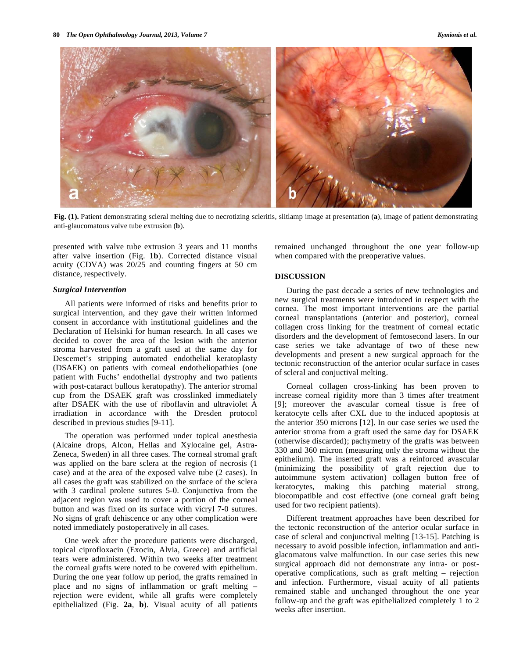

**Fig. (1).** Patient demonstrating scleral melting due to necrotizing scleritis, slitlamp image at presentation (**a**), image of patient demonstrating anti-glaucomatous valve tube extrusion (**b**).

presented with valve tube extrusion 3 years and 11 months after valve insertion (Fig. **1b**). Corrected distance visual acuity (CDVA) was 20/25 and counting fingers at 50 cm distance, respectively.

## *Surgical Intervention*

 All patients were informed of risks and benefits prior to surgical intervention, and they gave their written informed consent in accordance with institutional guidelines and the Declaration of Helsinki for human research. In all cases we decided to cover the area of the lesion with the anterior stroma harvested from a graft used at the same day for Descemet's stripping automated endothelial keratoplasty (DSAEK) on patients with corneal endotheliopathies (one patient with Fuchs' endothelial dystrophy and two patients with post-cataract bullous keratopathy). The anterior stromal cup from the DSAEK graft was crosslinked immediately after DSAEK with the use of riboflavin and ultraviolet A irradiation in accordance with the Dresden protocol described in previous studies [9-11].

 The operation was performed under topical anesthesia (Alcaine drops, Alcon, Hellas and Xylocaine gel, Astra-Zeneca, Sweden) in all three cases. The corneal stromal graft was applied on the bare sclera at the region of necrosis (1 case) and at the area of the exposed valve tube (2 cases). In all cases the graft was stabilized on the surface of the sclera with 3 cardinal prolene sutures 5-0. Conjunctiva from the adjacent region was used to cover a portion of the corneal button and was fixed on its surface with vicryl 7-0 sutures. No signs of graft dehiscence or any other complication were noted immediately postoperatively in all cases.

 One week after the procedure patients were discharged, topical ciprofloxacin (Exocin, Alvia, Greece) and artificial tears were administered. Within two weeks after treatment the corneal grafts were noted to be covered with epithelium. During the one year follow up period, the grafts remained in place and no signs of inflammation or graft melting – rejection were evident, while all grafts were completely epithelialized (Fig. **2a**, **b**). Visual acuity of all patients

remained unchanged throughout the one year follow-up when compared with the preoperative values.

#### **DISCUSSION**

 During the past decade a series of new technologies and new surgical treatments were introduced in respect with the cornea. The most important interventions are the partial corneal transplantations (anterior and posterior), corneal collagen cross linking for the treatment of corneal ectatic disorders and the development of femtosecond lasers. In our case series we take advantage of two of these new developments and present a new surgical approach for the tectonic reconstruction of the anterior ocular surface in cases of scleral and conjuctival melting.

 Corneal collagen cross-linking has been proven to increase corneal rigidity more than 3 times after treatment [9]; moreover the avascular corneal tissue is free of keratocyte cells after CXL due to the induced apoptosis at the anterior 350 microns [12]. In our case series we used the anterior stroma from a graft used the same day for DSAEK (otherwise discarded); pachymetry of the grafts was between 330 and 360 micron (measuring only the stroma without the epithelium). The inserted graft was a reinforced avascular (minimizing the possibility of graft rejection due to autoimmune system activation) collagen button free of keratocytes, making this patching material strong, biocompatible and cost effective (one corneal graft being used for two recipient patients).

 Different treatment approaches have been described for the tectonic reconstruction of the anterior ocular surface in case of scleral and conjunctival melting [13-15]. Patching is necessary to avoid possible infection, inflammation and antiglacomatous valve malfunction. In our case series this new surgical approach did not demonstrate any intra- or postoperative complications, such as graft melting – rejection and infection. Furthermore, visual acuity of all patients remained stable and unchanged throughout the one year follow-up and the graft was epithelialized completely 1 to 2 weeks after insertion.